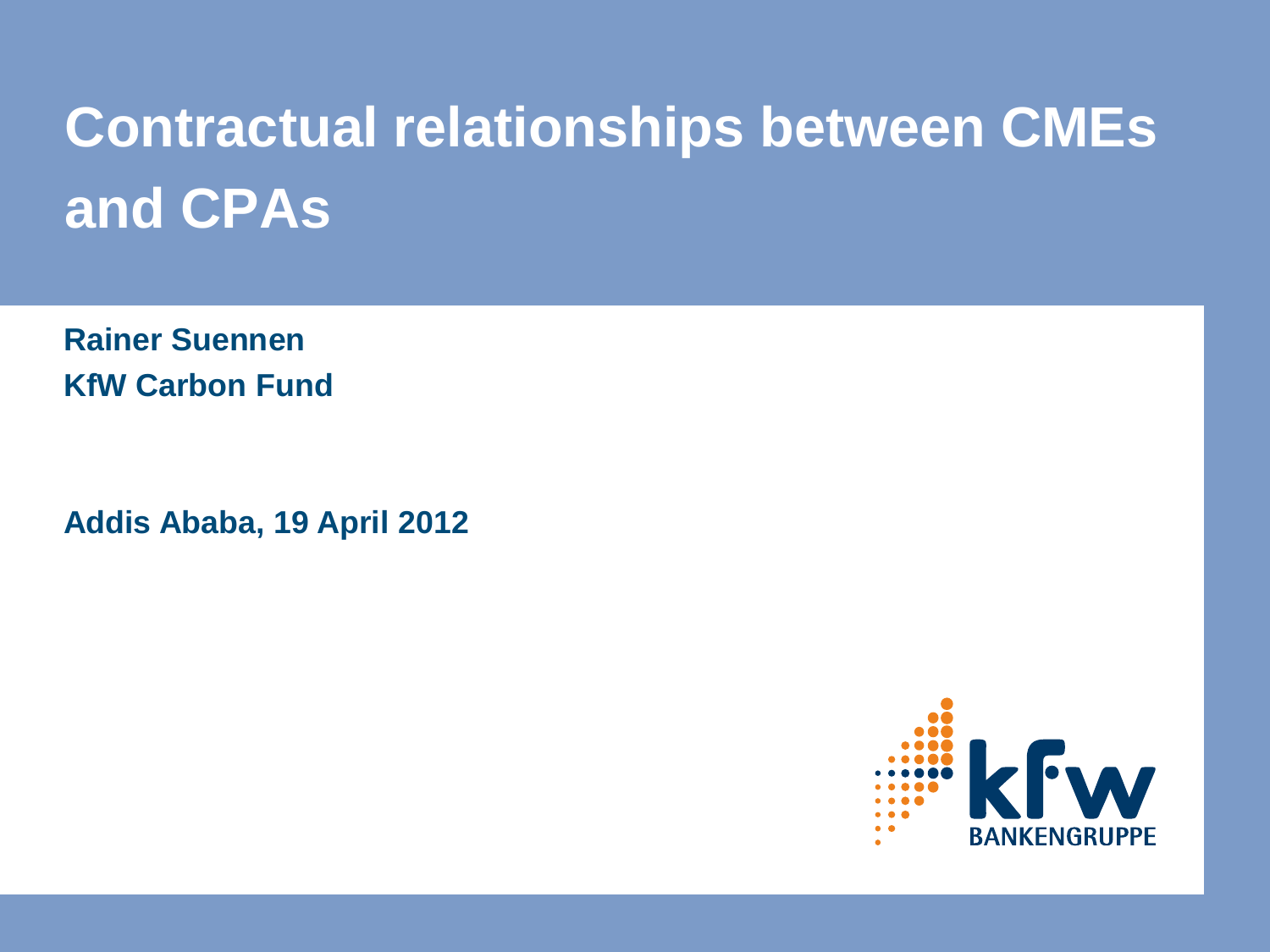# **Contractual relationships between CMEs and CPAs**

**Rainer Suennen KfW Carbon Fund**

**Addis Ababa, 19 April 2012** 

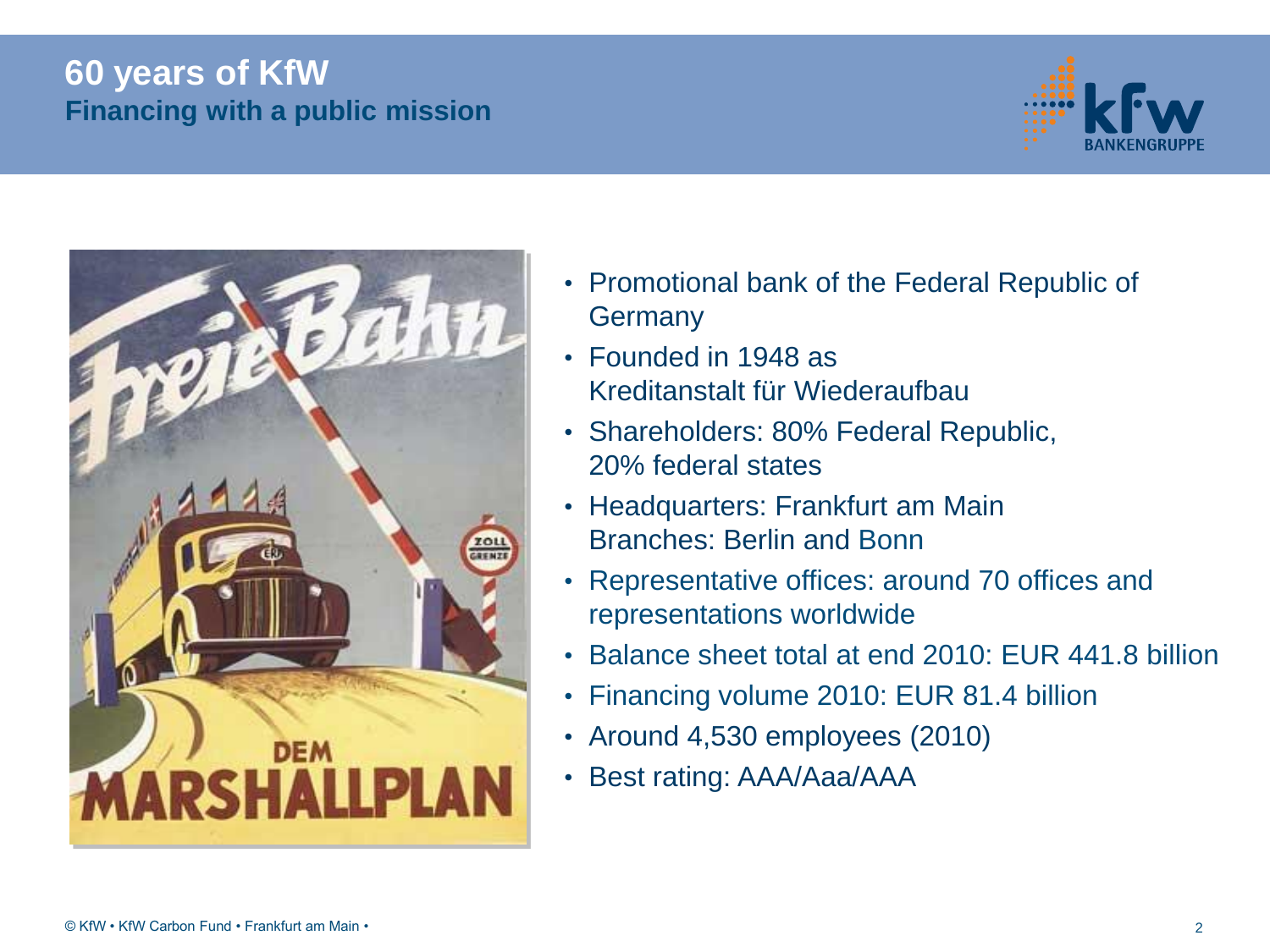#### **60 years of KfW Financing with a public mission**





- Promotional bank of the Federal Republic of **Germany**
- Founded in 1948 as Kreditanstalt für Wiederaufbau
- Shareholders: 80% Federal Republic, 20% federal states
- Headquarters: Frankfurt am Main Branches: Berlin and Bonn
- Representative offices: around 70 offices and representations worldwide
- Balance sheet total at end 2010: EUR 441.8 billion
- Financing volume 2010: EUR 81.4 billion
- Around 4,530 employees (2010)
- Best rating: AAA/Aaa/AAA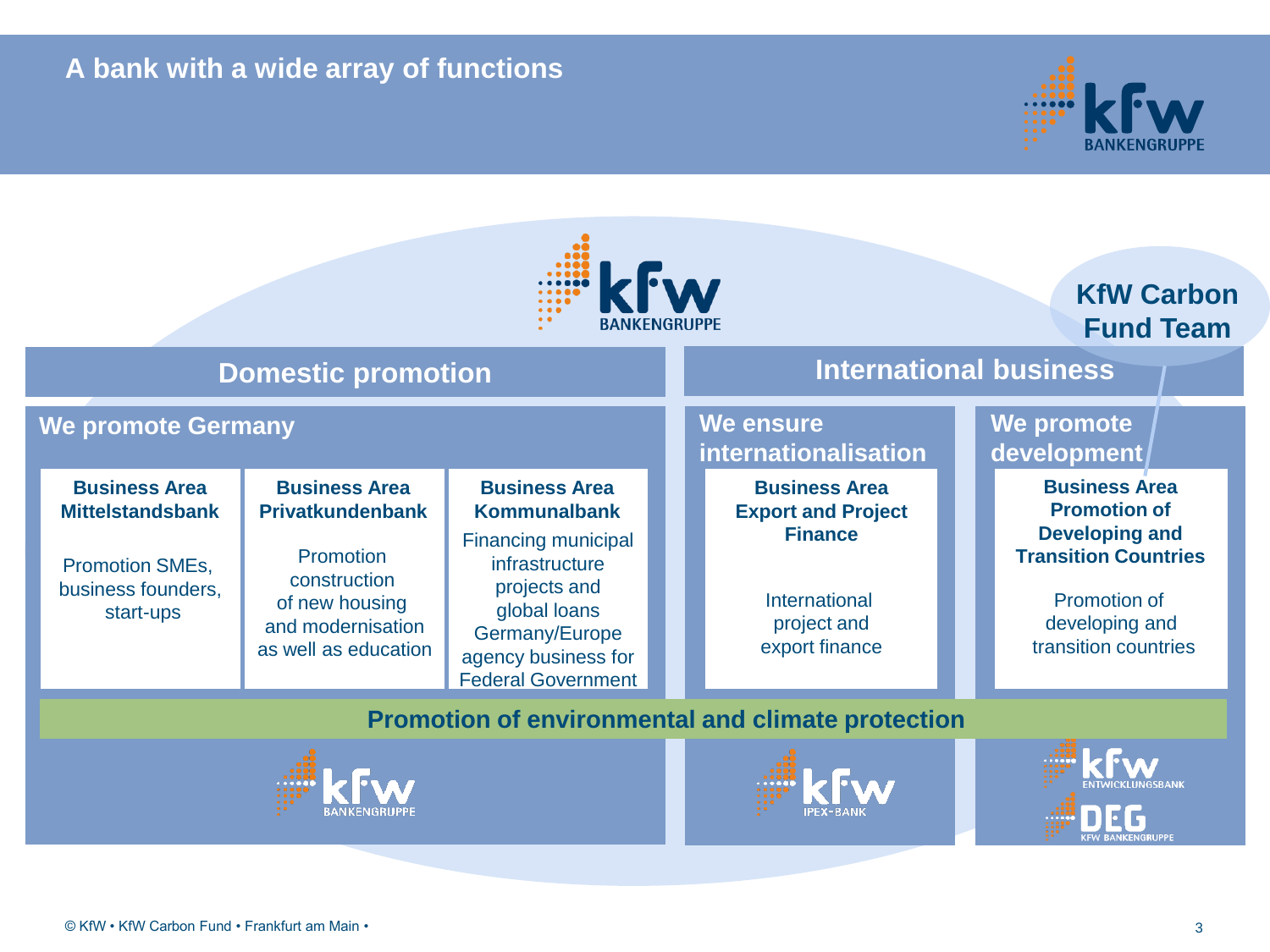#### **A bank with a wide array of functions**



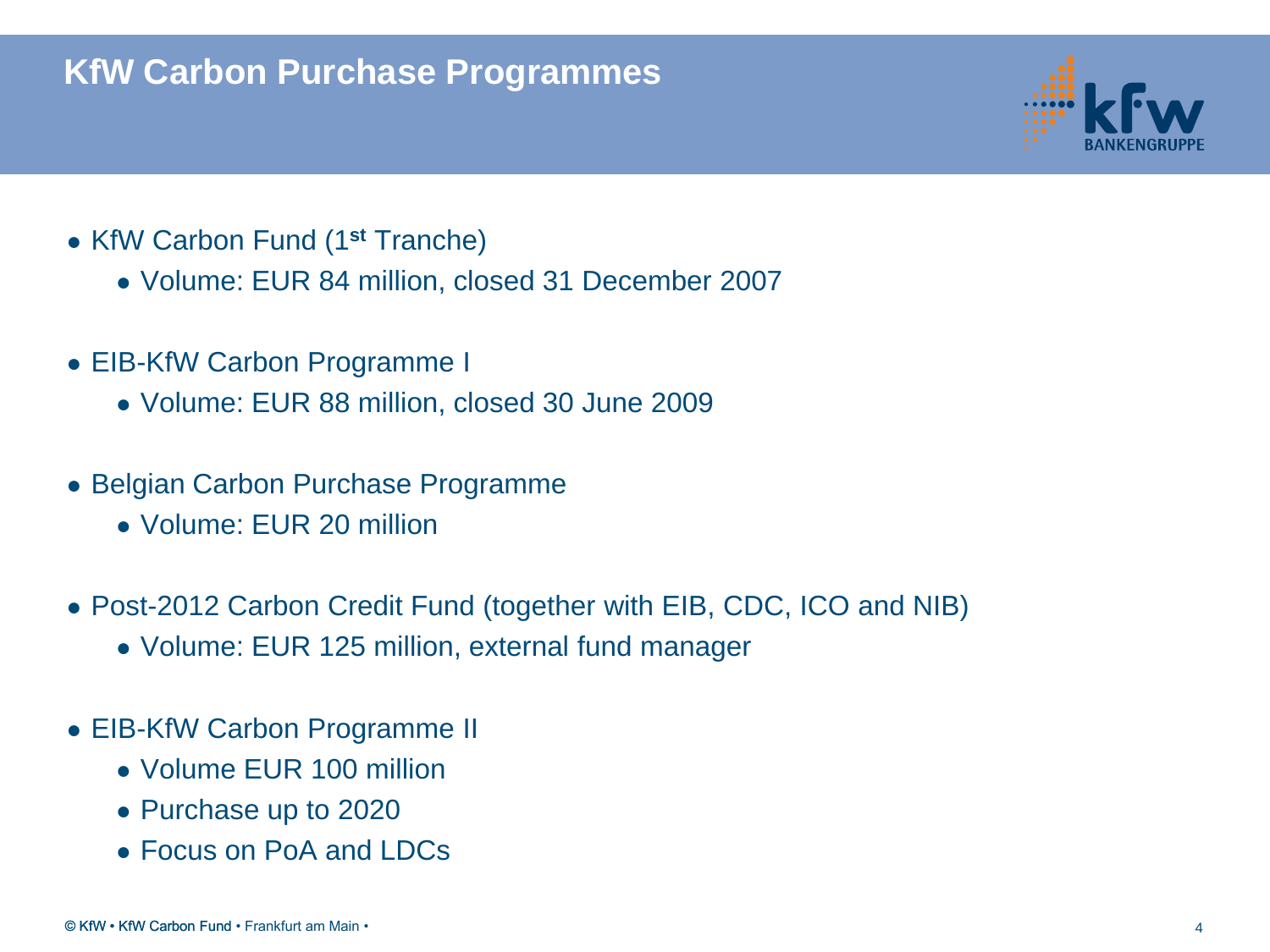#### **KfW Carbon Purchase Programmes**



- KfW Carbon Fund (1**st** Tranche)
	- Volume: EUR 84 million, closed 31 December 2007
- EIB-KfW Carbon Programme I
	- Volume: EUR 88 million, closed 30 June 2009
- Belgian Carbon Purchase Programme
	- Volume: EUR 20 million
- Post-2012 Carbon Credit Fund (together with EIB, CDC, ICO and NIB)
	- Volume: EUR 125 million, external fund manager
- EIB-KfW Carbon Programme II
	- Volume EUR 100 million
	- Purchase up to 2020
	- Focus on PoA and LDCs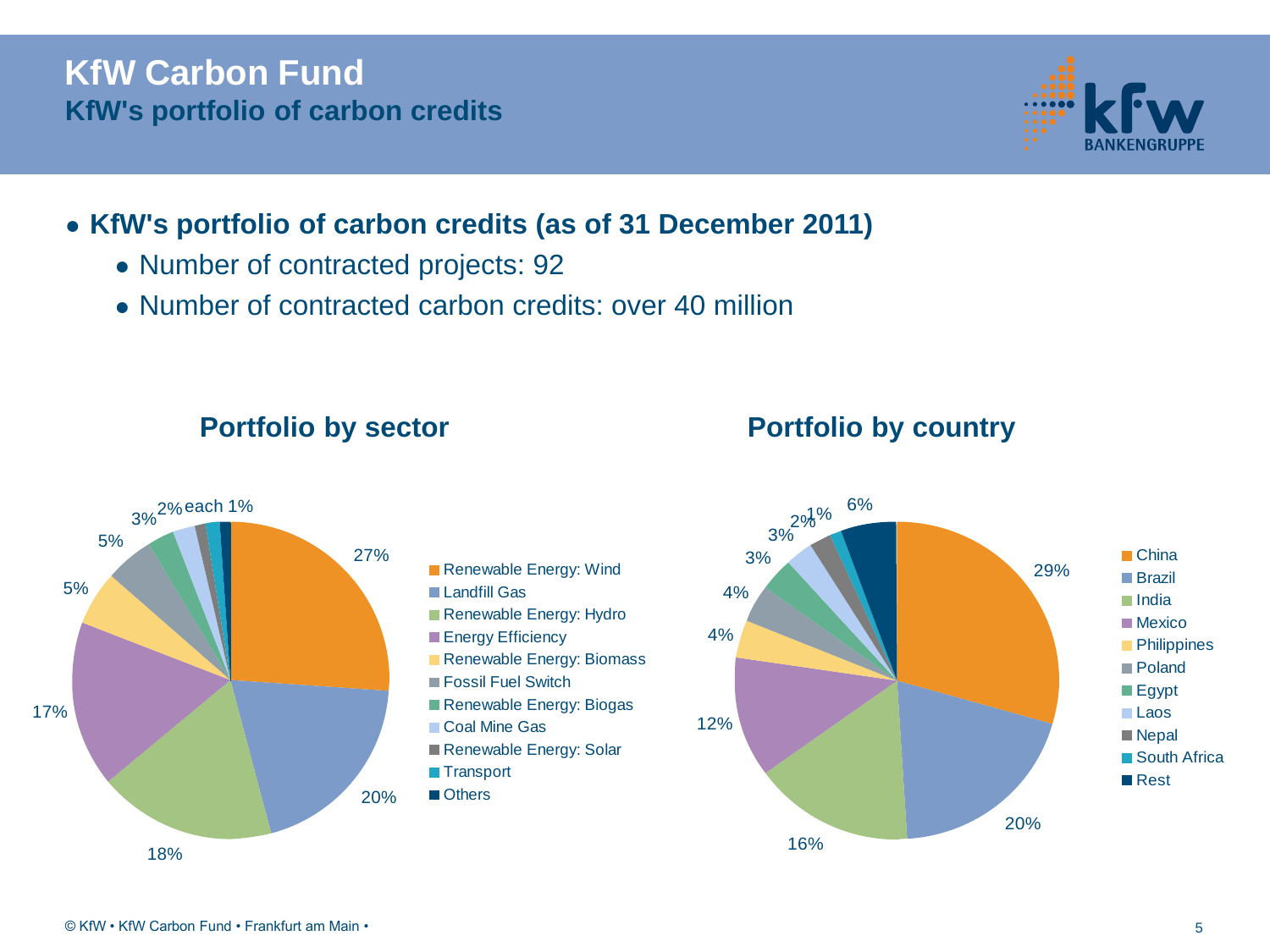#### **KfW Carbon Fund KfW's portfolio of carbon credits**



#### ● **KfW's portfolio of carbon credits (as of 31 December 2011)**

- Number of contracted projects: 92
- Number of contracted carbon credits: over 40 million





#### **Portfolio by sector Portfolio by country**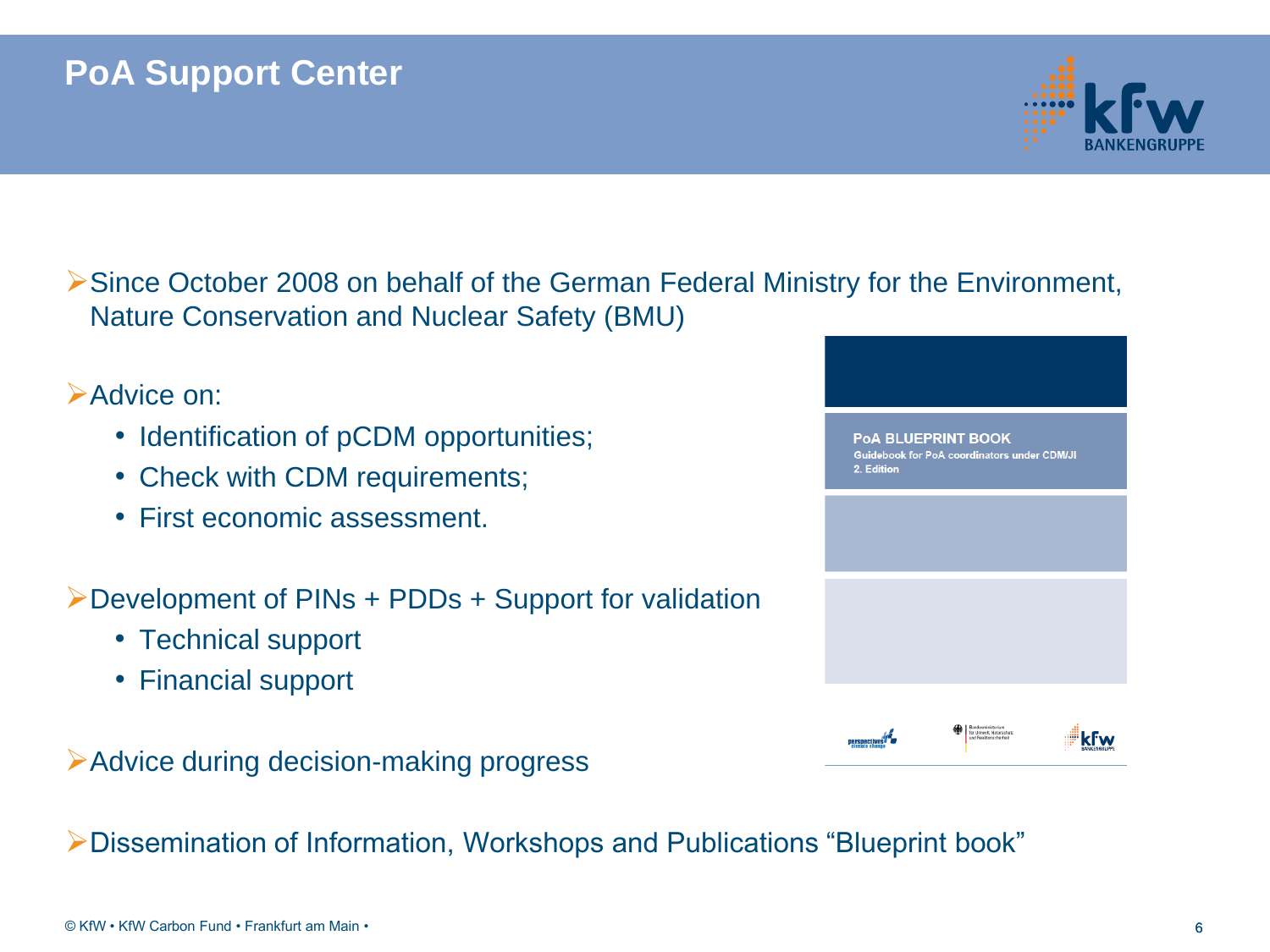#### **PoA Support Center**



Since October 2008 on behalf of the German Federal Ministry for the Environment, Nature Conservation and Nuclear Safety (BMU)

#### Advice on:

- Identification of pCDM opportunities;
- Check with CDM requirements;
- First economic assessment.

Development of PINs + PDDs + Support for validation

- Technical support
- Financial support

Advice during decision-making progress

Dissemination of Information, Workshops and Publications "Blueprint book"



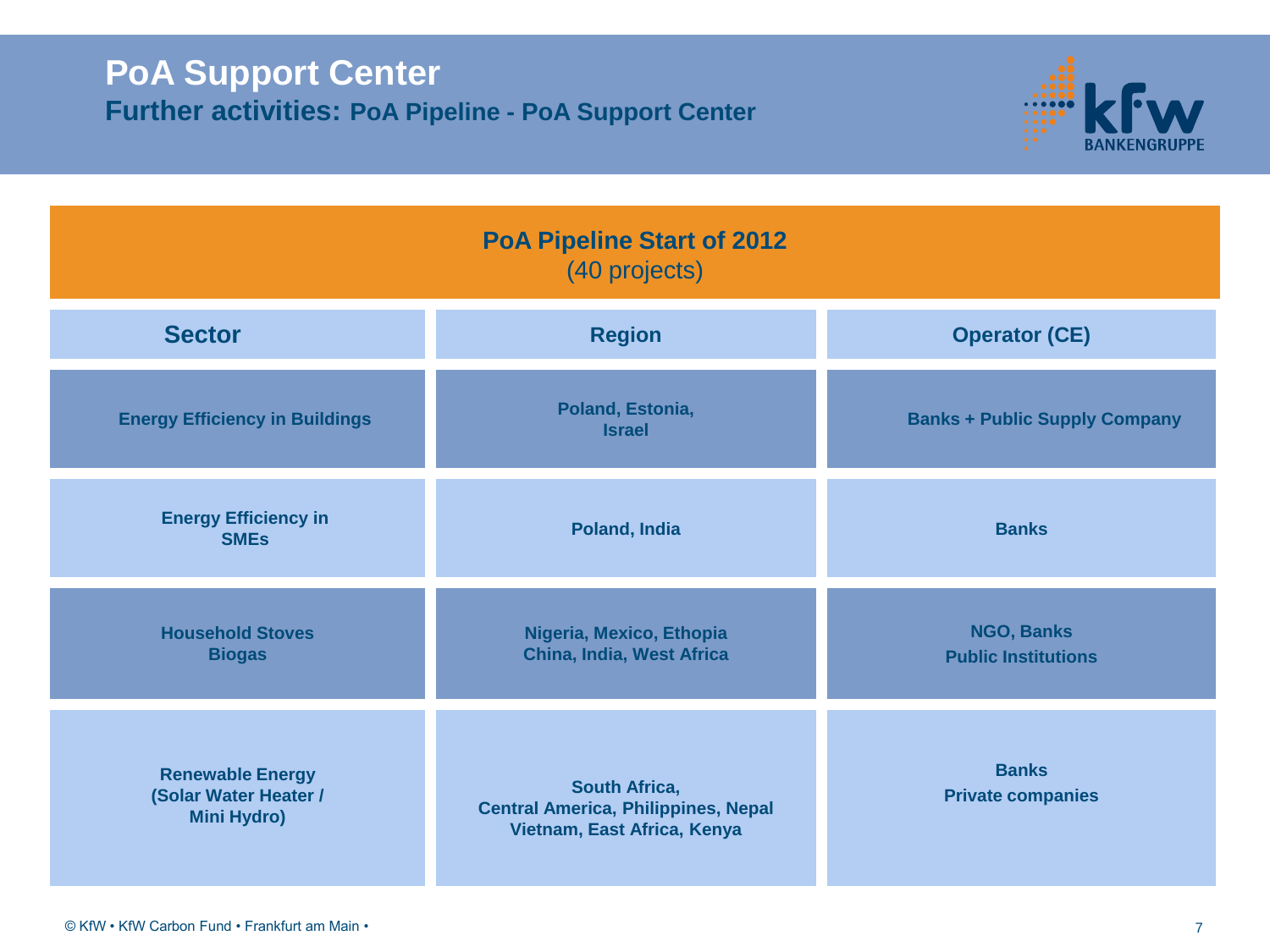#### **PoA Support Center Further activities: PoA Pipeline - PoA Support Center**



| <b>PoA Pipeline Start of 2012</b><br>(40 projects)                     |                                                                                                   |                                          |
|------------------------------------------------------------------------|---------------------------------------------------------------------------------------------------|------------------------------------------|
| <b>Sector</b>                                                          | <b>Region</b>                                                                                     | <b>Operator (CE)</b>                     |
| <b>Energy Efficiency in Buildings</b>                                  | Poland, Estonia,<br><b>Israel</b>                                                                 | <b>Banks + Public Supply Company</b>     |
| <b>Energy Efficiency in</b><br><b>SMEs</b>                             | Poland, India                                                                                     | <b>Banks</b>                             |
| <b>Household Stoves</b><br><b>Biogas</b>                               | Nigeria, Mexico, Ethopia<br>China, India, West Africa                                             | NGO, Banks<br><b>Public Institutions</b> |
| <b>Renewable Energy</b><br>(Solar Water Heater /<br><b>Mini Hydro)</b> | <b>South Africa,</b><br><b>Central America, Philippines, Nepal</b><br>Vietnam, East Africa, Kenya | <b>Banks</b><br><b>Private companies</b> |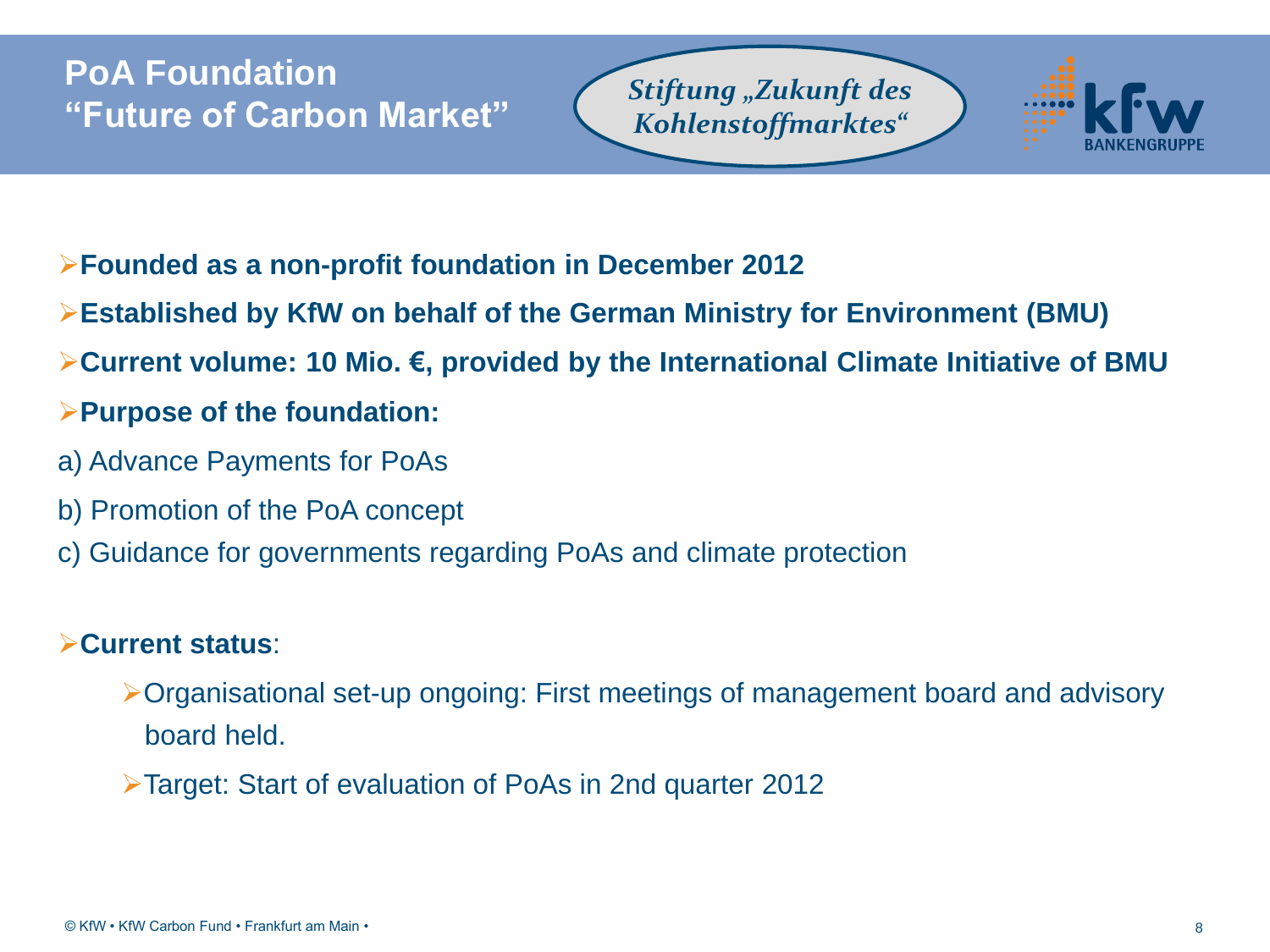#### **PoA Foundation "Future of Carbon Market"**

*Stiftung "Zukunft des Kohlenstoffmarktes"*



- **Founded as a non-profit foundation in December 2012**
- **Established by KfW on behalf of the German Ministry for Environment (BMU)**
- **Current volume: 10 Mio. €, provided by the International Climate Initiative of BMU**
- **Purpose of the foundation:**
- a) Advance Payments for PoAs
- b) Promotion of the PoA concept
- c) Guidance for governments regarding PoAs and climate protection

#### **Current status**:

- Organisational set-up ongoing: First meetings of management board and advisory board held.
- Target: Start of evaluation of PoAs in 2nd quarter 2012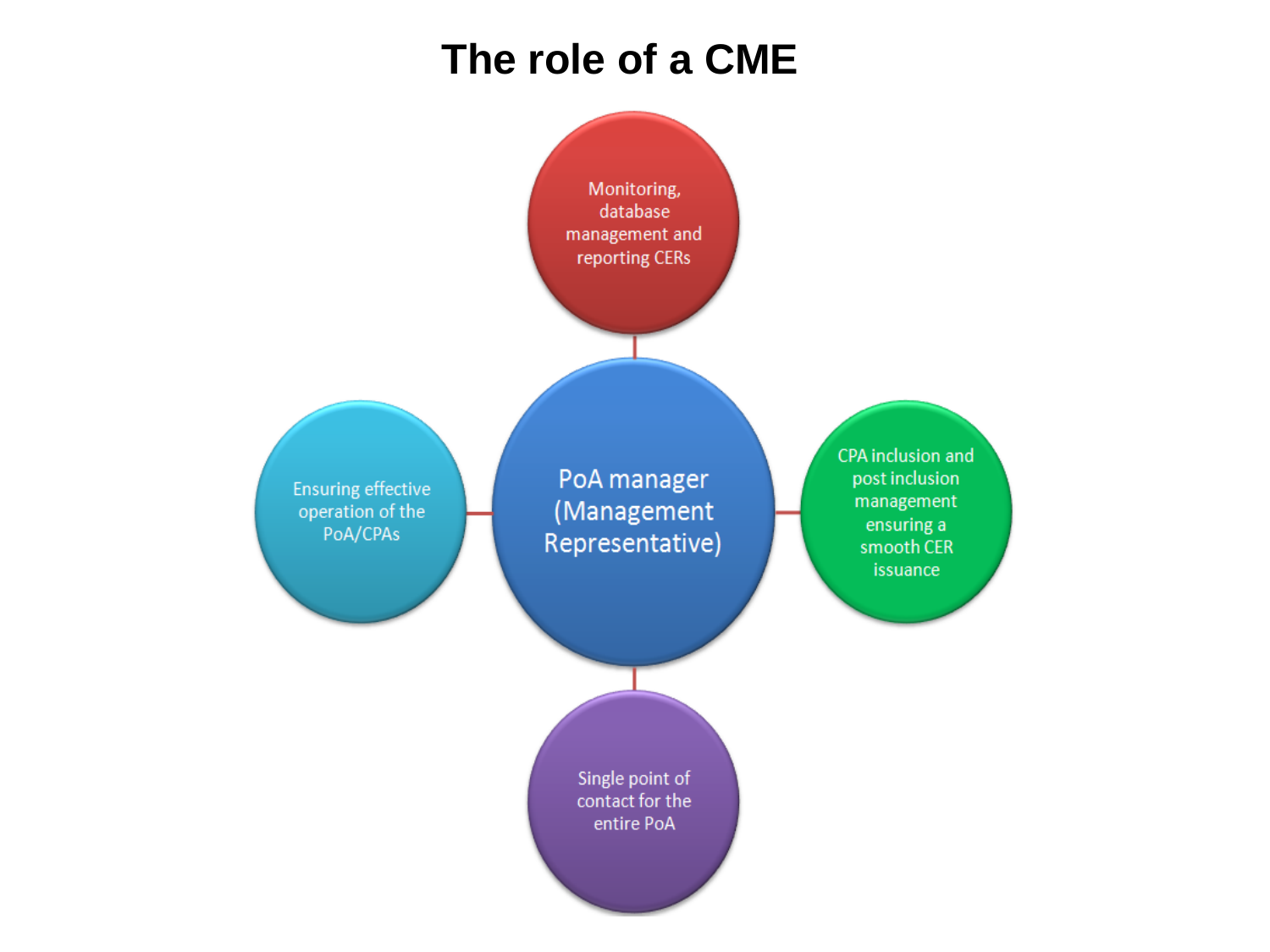## **The role of a CME**

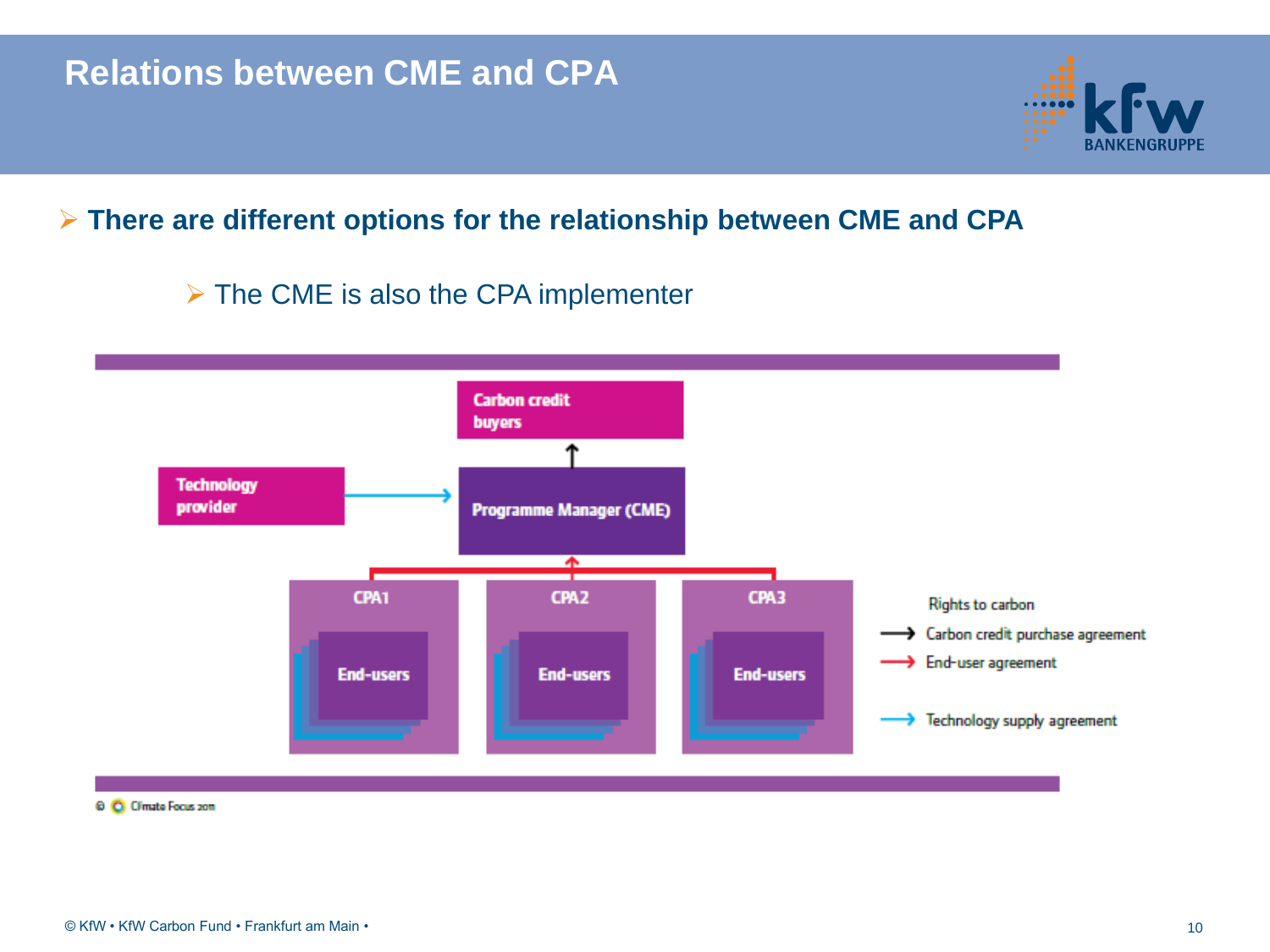#### **There are different options for the relationship between CME and CPA**

#### $\triangleright$  The CME is also the CPA implementer

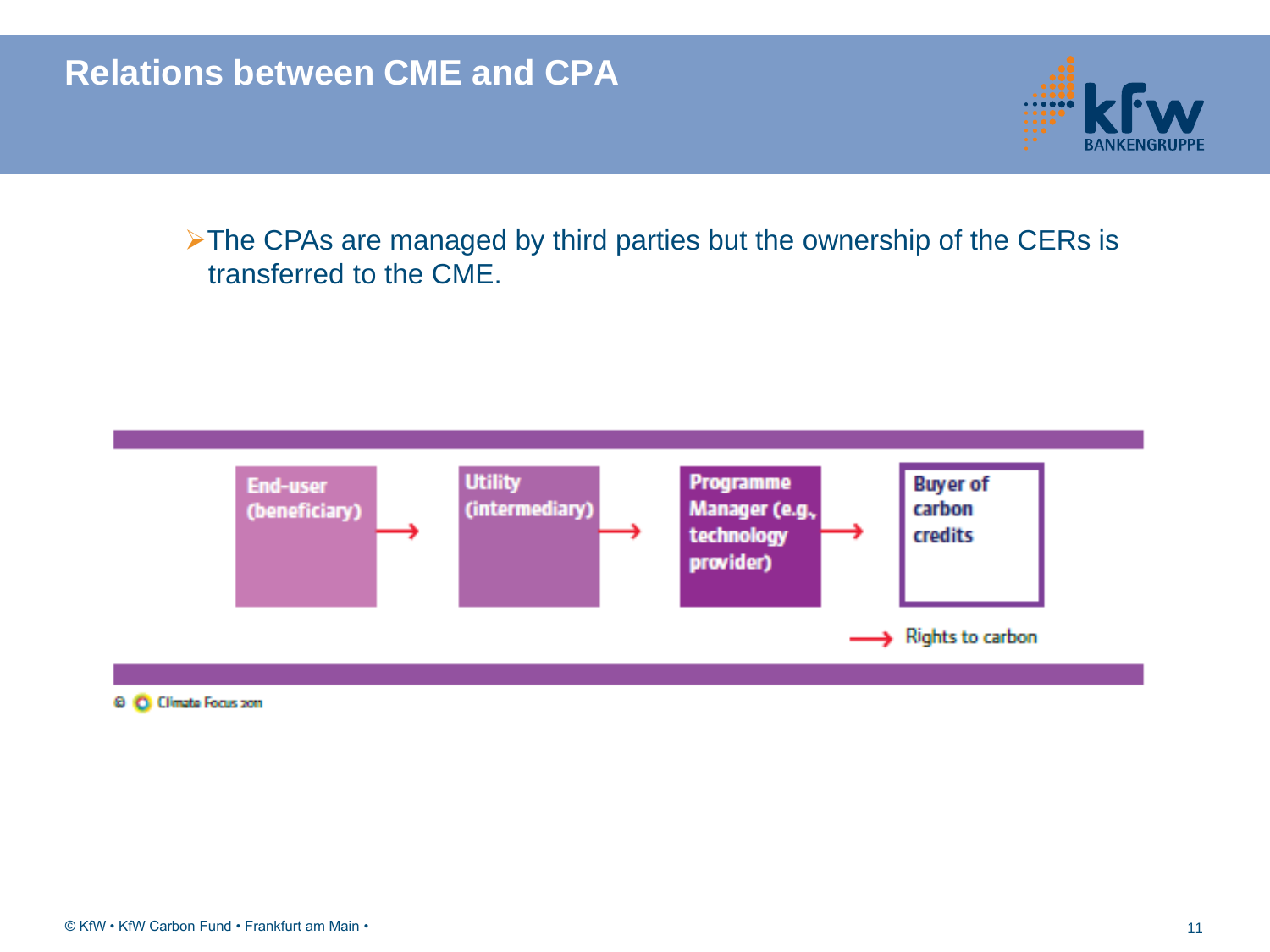#### **Relations between CME and CPA**



> The CPAs are managed by third parties but the ownership of the CERs is transferred to the CME.



#### © Climate Focus zon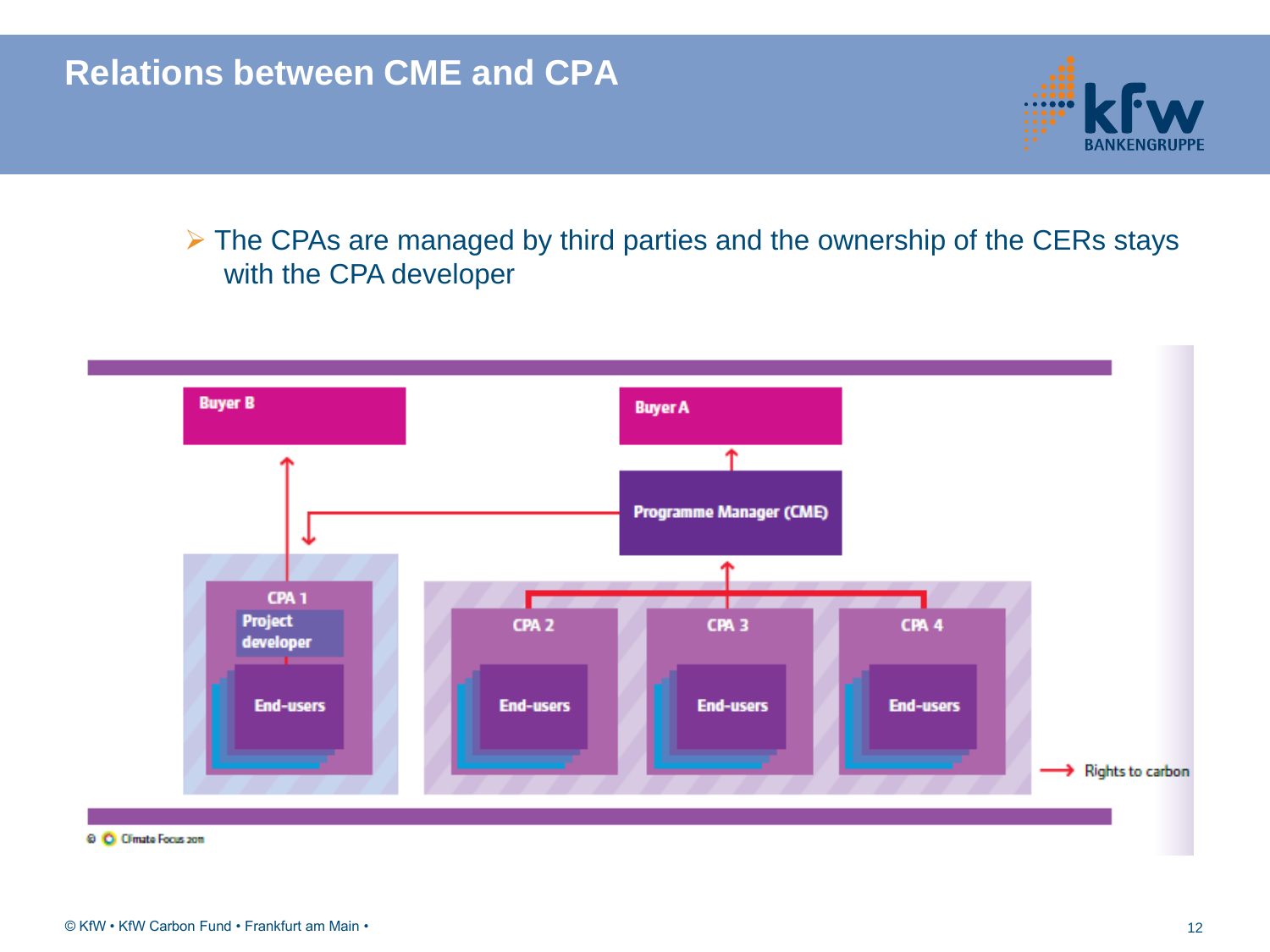#### **Relations between CME and CPA**

 $\triangleright$  The CPAs are managed by third parties and the ownership of the CERs stays with the CPA developer

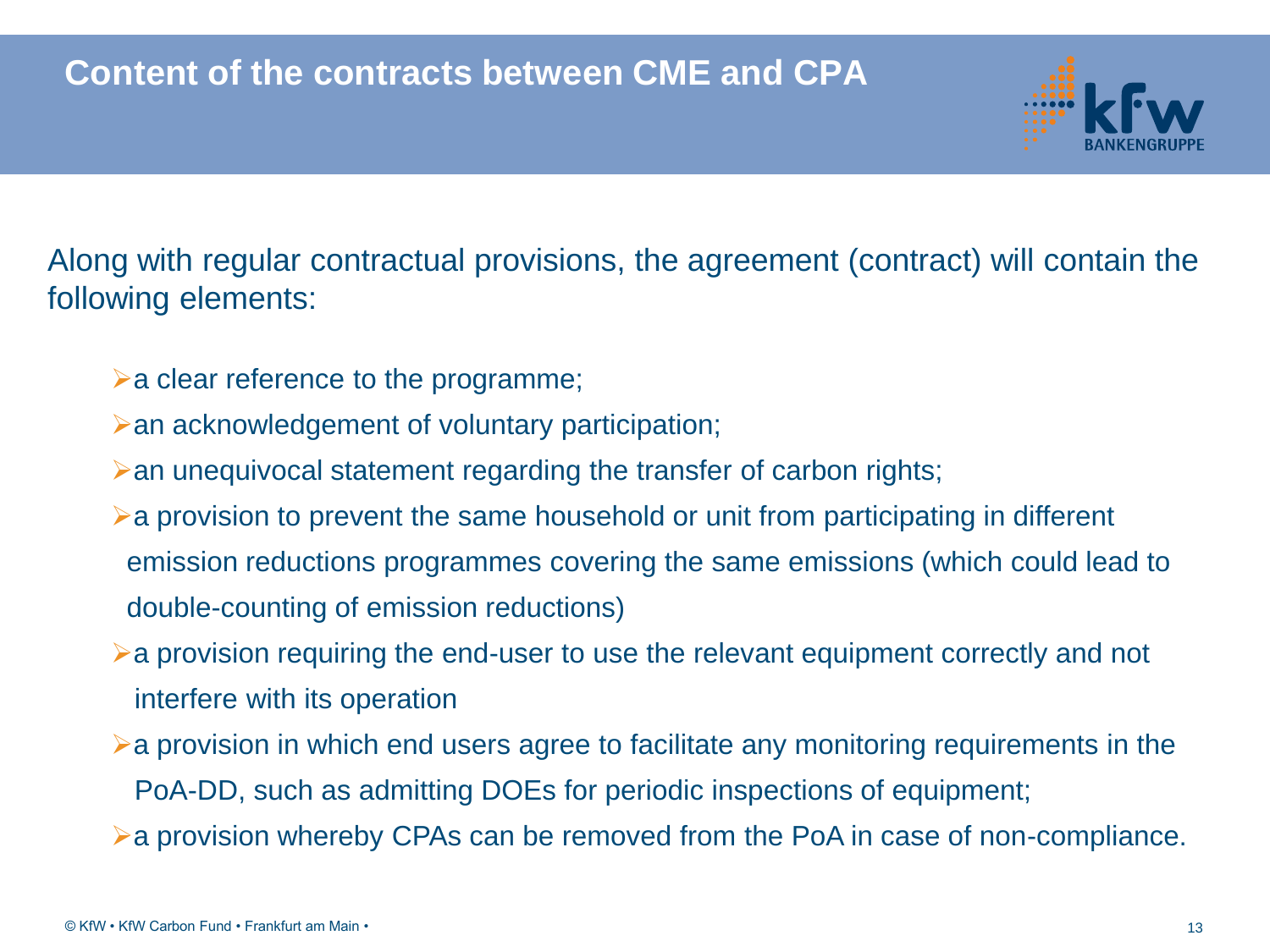

Along with regular contractual provisions, the agreement (contract) will contain the following elements:

- $\triangleright$  a clear reference to the programme;
- an acknowledgement of voluntary participation;
- an unequivocal statement regarding the transfer of carbon rights;
- a provision to prevent the same household or unit from participating in different emission reductions programmes covering the same emissions (which could lead to double-counting of emission reductions)
- a provision requiring the end-user to use the relevant equipment correctly and not interfere with its operation
- $\triangleright$  a provision in which end users agree to facilitate any monitoring requirements in the PoA-DD, such as admitting DOEs for periodic inspections of equipment;
- a provision whereby CPAs can be removed from the PoA in case of non-compliance.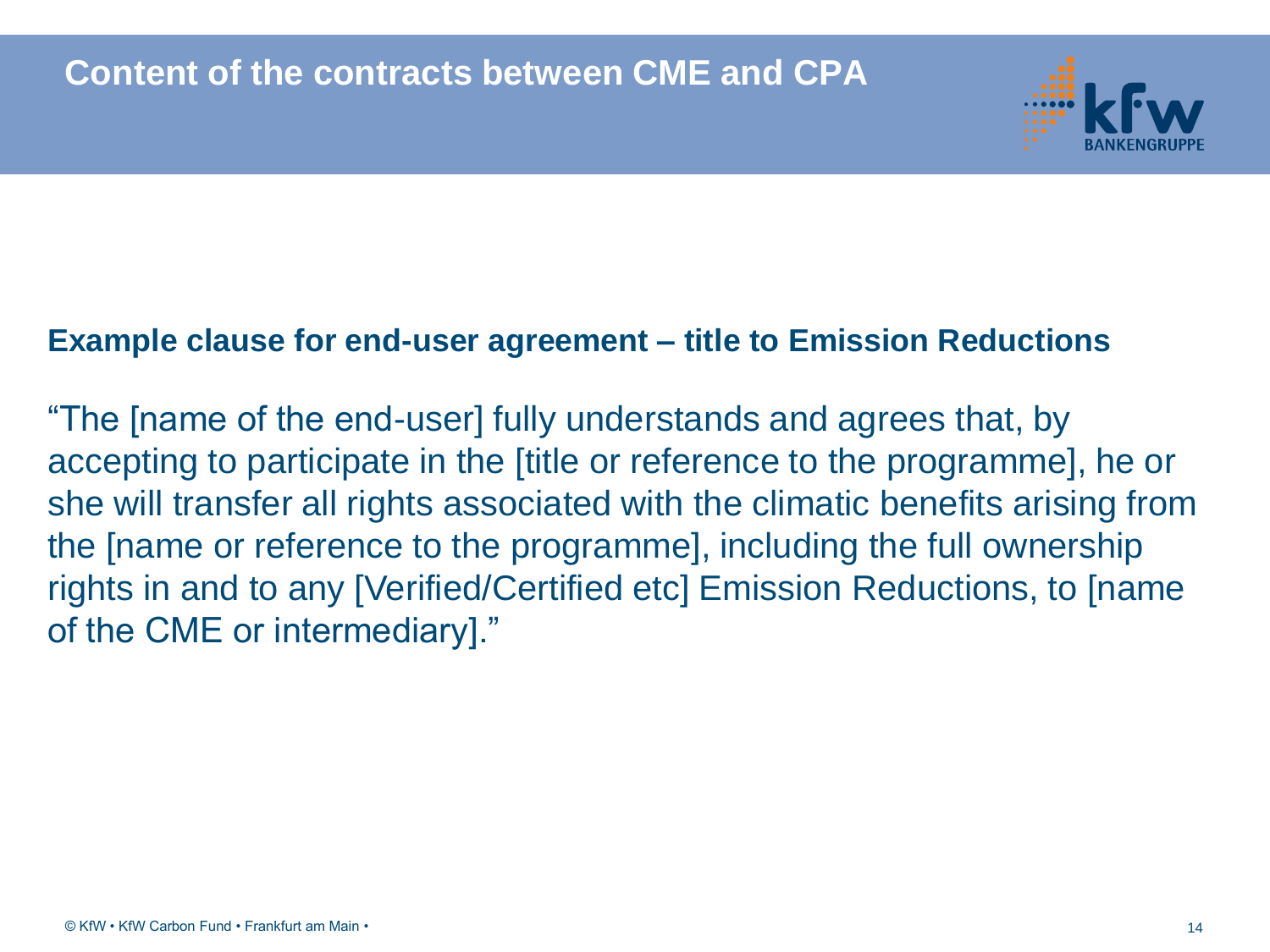

#### **Example clause for end-user agreement – title to Emission Reductions**

"The [name of the end-user] fully understands and agrees that, by accepting to participate in the [title or reference to the programme], he or she will transfer all rights associated with the climatic benefits arising from the [name or reference to the programme], including the full ownership rights in and to any [Verified/Certified etc] Emission Reductions, to [name of the CME or intermediary]."